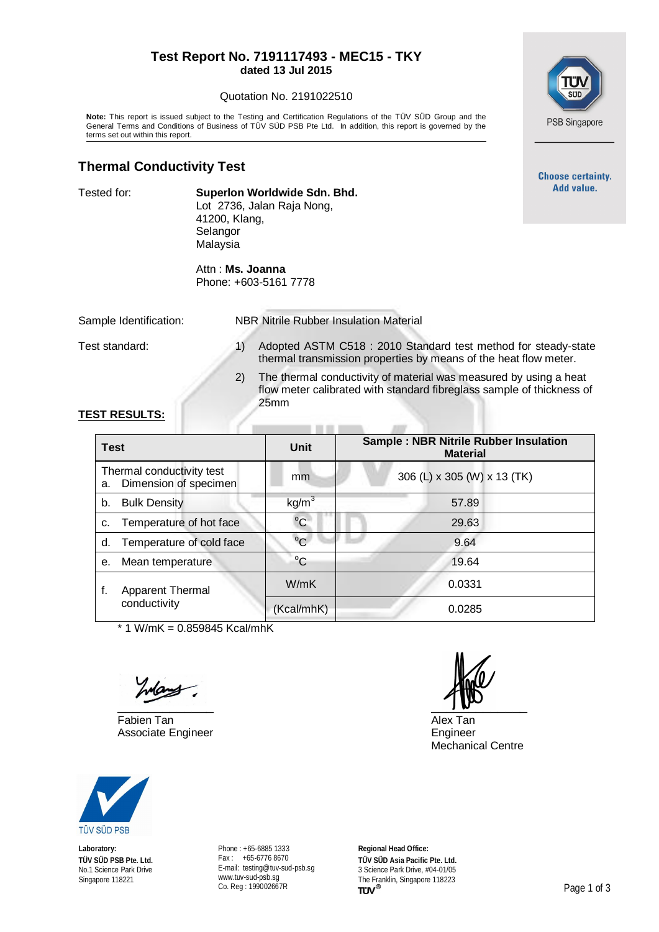#### **Test Report No. 7191117493 - MEC15 - TKY dated 13 Jul 2015**

#### Quotation No. 2191022510

**Note:** This report is issued subject to the Testing and Certification Regulations of the TÜV SÜD Group and the General Terms and Conditions of Business of TÜV SÜD PSB Pte Ltd. In addition, this report is governed by the terms set out within this report.

## **Thermal Conductivity Test**

Tested for: **Superlon Worldwide Sdn. Bhd.** Lot 2736, Jalan Raja Nong, 41200, Klang, Selangor Malaysia

> Attn : **Ms. Joanna** Phone: +603-5161 7778

Sample Identification: NBR Nitrile Rubber Insulation Material

- Test standard: 1) Adopted ASTM C518 : 2010 Standard test method for steady-state thermal transmission properties by means of the heat flow meter.
	- 2) The thermal conductivity of material was measured by using a heat flow meter calibrated with standard fibreglass sample of thickness of 25mm

### **TEST RESULTS:**

| <b>Test</b> |                                                    | Unit              | <b>Sample: NBR Nitrile Rubber Insulation</b><br><b>Material</b> |
|-------------|----------------------------------------------------|-------------------|-----------------------------------------------------------------|
| а.          | Thermal conductivity test<br>Dimension of specimen | mm                | 306 (L) x 305 (W) x 13 (TK)                                     |
| b.          | <b>Bulk Density</b>                                | kg/m <sup>3</sup> | 57.89                                                           |
| C.          | Temperature of hot face                            | $^{\circ}$ C      | 29.63                                                           |
| d.          | Temperature of cold face                           | $^{\circ}C$       | 9.64                                                            |
| е.          | Mean temperature                                   | $^{\circ}C$       | 19.64                                                           |
| f.          | Apparent Thermal<br>conductivity                   | W/mK              | 0.0331                                                          |
|             |                                                    | (Kcal/mhK)        | 0.0285                                                          |

 $*$  1 W/mK = 0.859845 Kcal/mhK

Fabien Tan Alex Tan Alex Tan Alex Tan Alex Tan Alex Tan Alex Tan Alex Tan Alex Tan Alex Tan Alex Tan Alex Tan Alex Tan Alex Tan Alex Tan Alex Tan Alex Tan Alex Tan Alex Tan Alex Tan Alex Tan Alex Tan Alex Tan Alex Tan Alex Associate Engineer **Engineer** Engineer

 $\mathbf{w}$ 

Mechanical Centre



**Laboratory: TÜV SÜD PSB Pte. Ltd.** No.1 Science Park Drive Singapore 118221

Phone : +65-6885 1333 Fax : +65-6776 8670 E-mail: [testing@tuv-sud-psb.sg](mailto:testing@tuv-sud-psb.sg) [www.tuv-sud-psb.sg](http://www.tuv-sud-psb.sg/) Co. Reg : 199002667R

**Regional Head Office: TÜV SÜD Asia Pacific Pte. Ltd.** 3 Science Park Drive, #04-01/05 The Franklin, Singapore 118223<br>TUV<sup>®</sup>



**Choose certainty.** Add value.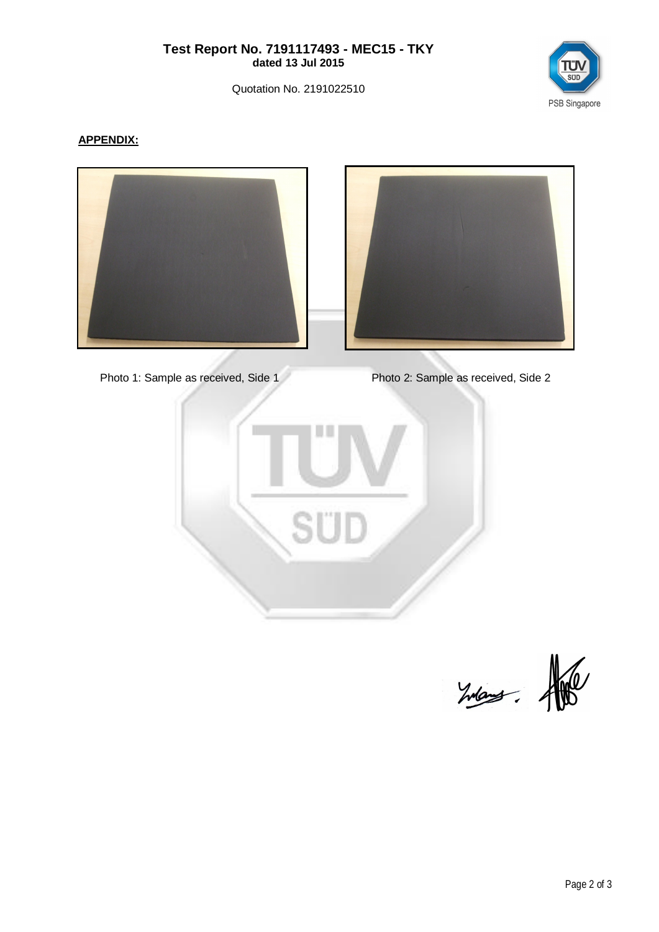#### **Test Report No. 7191117493 - MEC15 - TKY dated 13 Jul 2015**

Quotation No. 2191022510



# **APPENDIX:**





Photo 1: Sample as received, Side 1 Photo 2: Sample as received, Side 2



 $24 = 10$